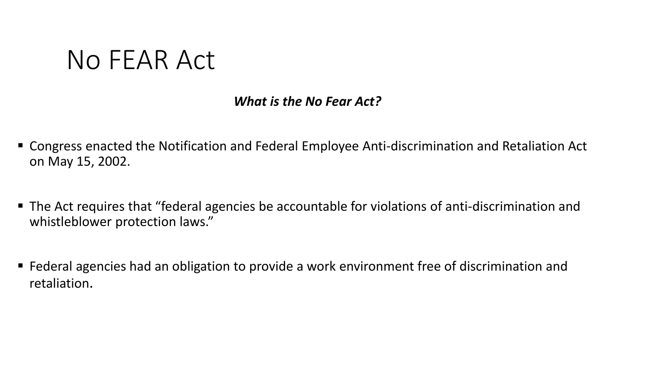### *What is the No Fear Act?*

- Congress enacted the Notification and Federal Employee Anti-discrimination and Retaliation Act on May 15, 2002.
- The Act requires that "federal agencies be accountable for violations of anti-discrimination and whistleblower protection laws."
- Federal agencies had an obligation to provide a work environment free of discrimination and retaliation.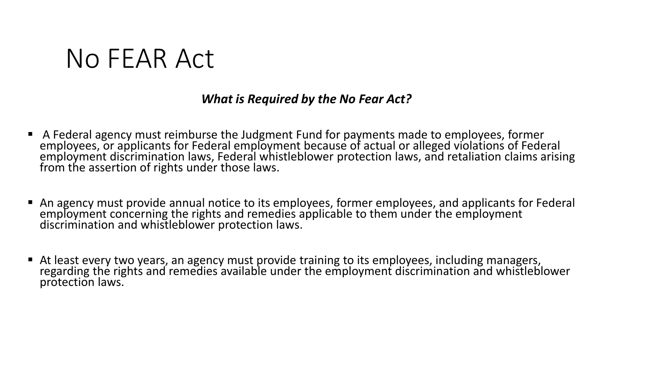#### *What is Required by the No Fear Act?*

- A Federal agency must reimburse the Judgment Fund for payments made to employees, former employees, or applicants for Federal employment because of actual or alleged violations of Federal employment discrimination laws, Federal whistleblower protection laws, and retaliation claims arising from the assertion of rights under those laws.
- An agency must provide annual notice to its employees, former employees, and applicants for Federal employment concerning the rights and remedies applicable to them under the employment discrimination and whistleblower protection laws.
- At least every two years, an agency must provide training to its employees, including managers, regarding the rights and remedies available under the employment discrimination and whistleblower protection laws.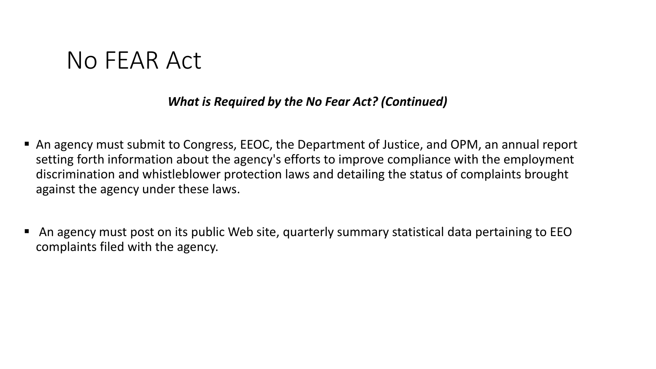### *What is Required by the No Fear Act? (Continued)*

- An agency must submit to Congress, EEOC, the Department of Justice, and OPM, an annual report setting forth information about the agency's efforts to improve compliance with the employment discrimination and whistleblower protection laws and detailing the status of complaints brought against the agency under these laws.
- An agency must post on its public Web site, quarterly summary statistical data pertaining to EEO complaints filed with the agency.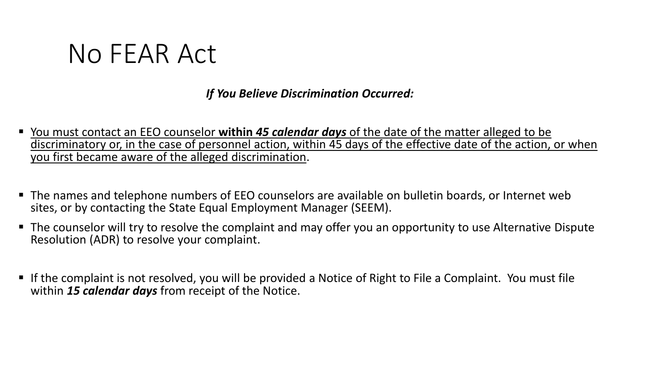### *If You Believe Discrimination Occurred:*

- You must contact an EEO counselor **within** *45 calendar days* of the date of the matter alleged to be discriminatory or, in the case of personnel action, within 45 days of the effective date of the action, or when you first became aware of the alleged discrimination.
- The names and telephone numbers of EEO counselors are available on bulletin boards, or Internet web sites, or by contacting the State Equal Employment Manager (SEEM).
- The counselor will try to resolve the complaint and may offer you an opportunity to use Alternative Dispute Resolution (ADR) to resolve your complaint.
- If the complaint is not resolved, you will be provided a Notice of Right to File a Complaint. You must file within *15 calendar days* from receipt of the Notice.